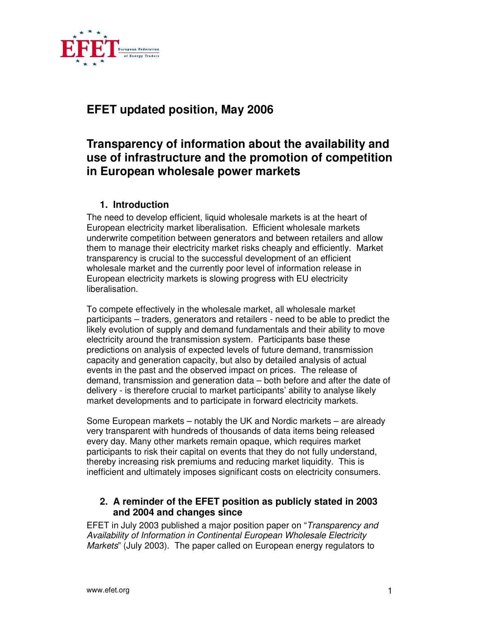

# **EFET updated position, May 2006**

## **Transparency of information about the availability and use of infrastructure and the promotion of competition in European wholesale power markets**

## **1. Introduction**

The need to develop efficient, liquid wholesale markets is at the heart of European electricity market liberalisation. Efficient wholesale markets underwrite competition between generators and between retailers and allow them to manage their electricity market risks cheaply and efficiently. Market transparency is crucial to the successful development of an efficient wholesale market and the currently poor level of information release in European electricity markets is slowing progress with EU electricity liberalisation.

To compete effectively in the wholesale market, all wholesale market participants – traders, generators and retailers - need to be able to predict the likely evolution of supply and demand fundamentals and their ability to move electricity around the transmission system. Participants base these predictions on analysis of expected levels of future demand, transmission capacity and generation capacity, but also by detailed analysis of actual events in the past and the observed impact on prices. The release of demand, transmission and generation data – both before and after the date of delivery - is therefore crucial to market participants' ability to analyse likely market developments and to participate in forward electricity markets.

Some European markets – notably the UK and Nordic markets – are already very transparent with hundreds of thousands of data items being released every day. Many other markets remain opaque, which requires market participants to risk their capital on events that they do not fully understand, thereby increasing risk premiums and reducing market liquidity. This is inefficient and ultimately imposes significant costs on electricity consumers.

## **2. A reminder of the EFET position as publicly stated in 2003 and 2004 and changes since**

EFET in July 2003 published a major position paper on "Transparency and Availability of Information in Continental European Wholesale Electricity Markets" (July 2003). The paper called on European energy regulators to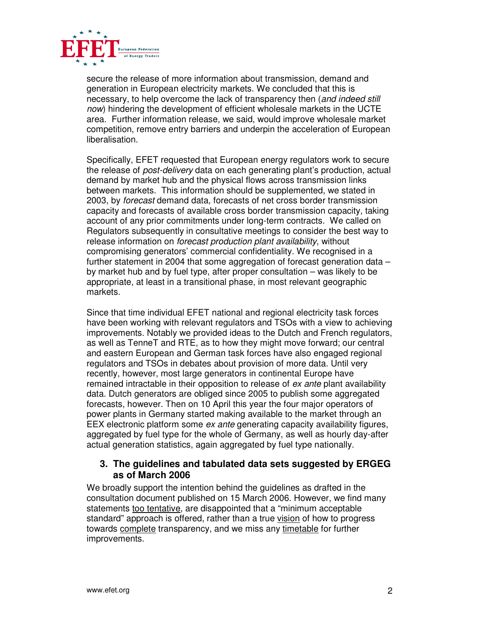

secure the release of more information about transmission, demand and generation in European electricity markets. We concluded that this is necessary, to help overcome the lack of transparency then (and indeed still now) hindering the development of efficient wholesale markets in the UCTE area. Further information release, we said, would improve wholesale market competition, remove entry barriers and underpin the acceleration of European liberalisation.

Specifically, EFET requested that European energy regulators work to secure the release of *post-delivery* data on each generating plant's production, actual demand by market hub and the physical flows across transmission links between markets. This information should be supplemented, we stated in 2003, by forecast demand data, forecasts of net cross border transmission capacity and forecasts of available cross border transmission capacity, taking account of any prior commitments under long-term contracts. We called on Regulators subsequently in consultative meetings to consider the best way to release information on forecast production plant availability, without compromising generators' commercial confidentiality. We recognised in a further statement in 2004 that some aggregation of forecast generation data – by market hub and by fuel type, after proper consultation – was likely to be appropriate, at least in a transitional phase, in most relevant geographic markets.

Since that time individual EFET national and regional electricity task forces have been working with relevant regulators and TSOs with a view to achieving improvements. Notably we provided ideas to the Dutch and French regulators, as well as TenneT and RTE, as to how they might move forward; our central and eastern European and German task forces have also engaged regional regulators and TSOs in debates about provision of more data. Until very recently, however, most large generators in continental Europe have remained intractable in their opposition to release of ex ante plant availability data. Dutch generators are obliged since 2005 to publish some aggregated forecasts, however. Then on 10 April this year the four major operators of power plants in Germany started making available to the market through an EEX electronic platform some ex ante generating capacity availability figures, aggregated by fuel type for the whole of Germany, as well as hourly day-after actual generation statistics, again aggregated by fuel type nationally.

#### **3. The guidelines and tabulated data sets suggested by ERGEG as of March 2006**

We broadly support the intention behind the guidelines as drafted in the consultation document published on 15 March 2006. However, we find many statements too tentative, are disappointed that a "minimum acceptable standard" approach is offered, rather than a true vision of how to progress towards complete transparency, and we miss any timetable for further improvements.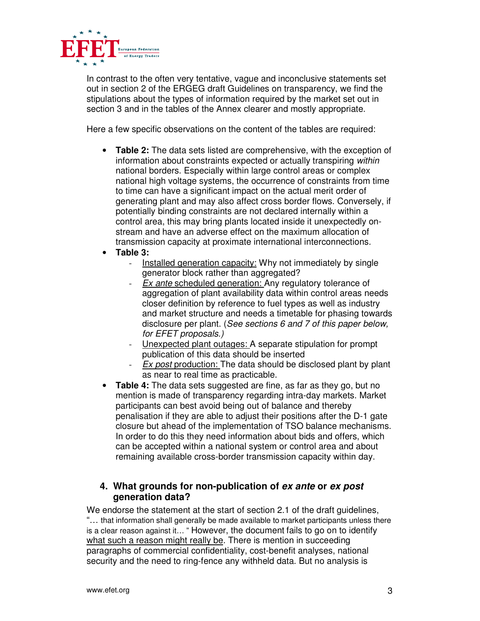

In contrast to the often very tentative, vague and inconclusive statements set out in section 2 of the ERGEG draft Guidelines on transparency, we find the stipulations about the types of information required by the market set out in section 3 and in the tables of the Annex clearer and mostly appropriate.

Here a few specific observations on the content of the tables are required:

- **Table 2:** The data sets listed are comprehensive, with the exception of information about constraints expected or actually transpiring within national borders. Especially within large control areas or complex national high voltage systems, the occurrence of constraints from time to time can have a significant impact on the actual merit order of generating plant and may also affect cross border flows. Conversely, if potentially binding constraints are not declared internally within a control area, this may bring plants located inside it unexpectedly onstream and have an adverse effect on the maximum allocation of transmission capacity at proximate international interconnections.
- **Table 3:** 
	- Installed generation capacity: Why not immediately by single generator block rather than aggregated?
	- Ex ante scheduled generation: Any regulatory tolerance of aggregation of plant availability data within control areas needs closer definition by reference to fuel types as well as industry and market structure and needs a timetable for phasing towards disclosure per plant. (See sections 6 and 7 of this paper below, for EFET proposals.)
	- Unexpected plant outages: A separate stipulation for prompt publication of this data should be inserted
	- Ex post production: The data should be disclosed plant by plant as near to real time as practicable.
- **Table 4:** The data sets suggested are fine, as far as they go, but no mention is made of transparency regarding intra-day markets. Market participants can best avoid being out of balance and thereby penalisation if they are able to adjust their positions after the D-1 gate closure but ahead of the implementation of TSO balance mechanisms. In order to do this they need information about bids and offers, which can be accepted within a national system or control area and about remaining available cross-border transmission capacity within day.

## **4. What grounds for non-publication of ex ante or ex post generation data?**

We endorse the statement at the start of section 2.1 of the draft guidelines, "… that information shall generally be made available to market participants unless there is a clear reason against it… " However, the document fails to go on to identify what such a reason might really be. There is mention in succeeding paragraphs of commercial confidentiality, cost-benefit analyses, national security and the need to ring-fence any withheld data. But no analysis is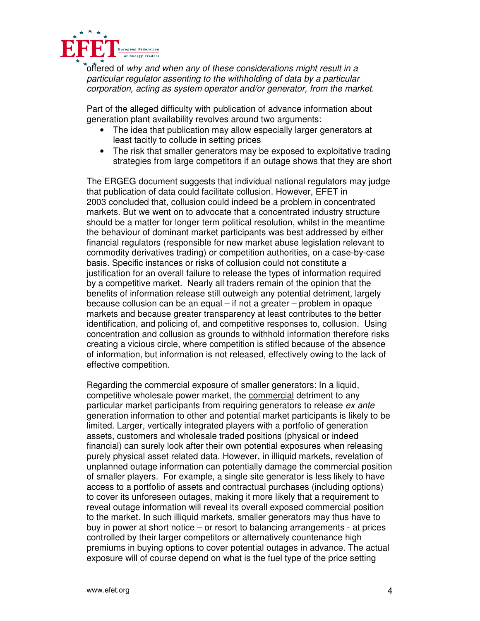

offered of why and when any of these considerations might result in a particular regulator assenting to the withholding of data by a particular corporation, acting as system operator and/or generator, from the market.

Part of the alleged difficulty with publication of advance information about generation plant availability revolves around two arguments:

- The idea that publication may allow especially larger generators at least tacitly to collude in setting prices
- The risk that smaller generators may be exposed to exploitative trading strategies from large competitors if an outage shows that they are short

The ERGEG document suggests that individual national regulators may judge that publication of data could facilitate collusion. However, EFET in 2003 concluded that, collusion could indeed be a problem in concentrated markets. But we went on to advocate that a concentrated industry structure should be a matter for longer term political resolution, whilst in the meantime the behaviour of dominant market participants was best addressed by either financial regulators (responsible for new market abuse legislation relevant to commodity derivatives trading) or competition authorities, on a case-by-case basis. Specific instances or risks of collusion could not constitute a justification for an overall failure to release the types of information required by a competitive market. Nearly all traders remain of the opinion that the benefits of information release still outweigh any potential detriment, largely because collusion can be an equal – if not a greater – problem in opaque markets and because greater transparency at least contributes to the better identification, and policing of, and competitive responses to, collusion. Using concentration and collusion as grounds to withhold information therefore risks creating a vicious circle, where competition is stifled because of the absence of information, but information is not released, effectively owing to the lack of effective competition.

Regarding the commercial exposure of smaller generators: In a liquid, competitive wholesale power market, the commercial detriment to any particular market participants from requiring generators to release ex ante generation information to other and potential market participants is likely to be limited. Larger, vertically integrated players with a portfolio of generation assets, customers and wholesale traded positions (physical or indeed financial) can surely look after their own potential exposures when releasing purely physical asset related data. However, in illiquid markets, revelation of unplanned outage information can potentially damage the commercial position of smaller players. For example, a single site generator is less likely to have access to a portfolio of assets and contractual purchases (including options) to cover its unforeseen outages, making it more likely that a requirement to reveal outage information will reveal its overall exposed commercial position to the market. In such illiquid markets, smaller generators may thus have to buy in power at short notice – or resort to balancing arrangements - at prices controlled by their larger competitors or alternatively countenance high premiums in buying options to cover potential outages in advance. The actual exposure will of course depend on what is the fuel type of the price setting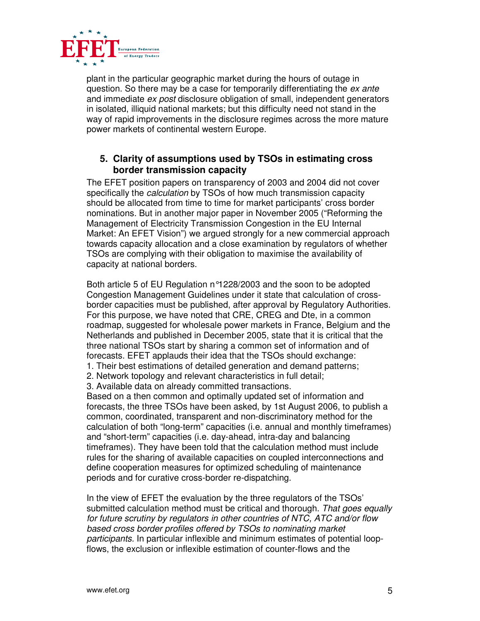

plant in the particular geographic market during the hours of outage in question. So there may be a case for temporarily differentiating the ex ante and immediate ex post disclosure obligation of small, independent generators in isolated, illiquid national markets; but this difficulty need not stand in the way of rapid improvements in the disclosure regimes across the more mature power markets of continental western Europe.

## **5. Clarity of assumptions used by TSOs in estimating cross border transmission capacity**

The EFET position papers on transparency of 2003 and 2004 did not cover specifically the calculation by TSOs of how much transmission capacity should be allocated from time to time for market participants' cross border nominations. But in another major paper in November 2005 ("Reforming the Management of Electricity Transmission Congestion in the EU Internal Market: An EFET Vision") we argued strongly for a new commercial approach towards capacity allocation and a close examination by regulators of whether TSOs are complying with their obligation to maximise the availability of capacity at national borders.

Both article 5 of EU Regulation n°1228/2003 and the soon to be adopted Congestion Management Guidelines under it state that calculation of crossborder capacities must be published, after approval by Regulatory Authorities. For this purpose, we have noted that CRE, CREG and Dte, in a common roadmap, suggested for wholesale power markets in France, Belgium and the Netherlands and published in December 2005, state that it is critical that the three national TSOs start by sharing a common set of information and of forecasts. EFET applauds their idea that the TSOs should exchange:

- 1. Their best estimations of detailed generation and demand patterns;
- 2. Network topology and relevant characteristics in full detail;

3. Available data on already committed transactions.

Based on a then common and optimally updated set of information and forecasts, the three TSOs have been asked, by 1st August 2006, to publish a common, coordinated, transparent and non-discriminatory method for the calculation of both "long-term" capacities (i.e. annual and monthly timeframes) and "short-term" capacities (i.e. day-ahead, intra-day and balancing timeframes). They have been told that the calculation method must include rules for the sharing of available capacities on coupled interconnections and define cooperation measures for optimized scheduling of maintenance periods and for curative cross-border re-dispatching.

In the view of EFET the evaluation by the three regulators of the TSOs' submitted calculation method must be critical and thorough. That goes equally for future scrutiny by regulators in other countries of NTC, ATC and/or flow based cross border profiles offered by TSOs to nominating market participants. In particular inflexible and minimum estimates of potential loopflows, the exclusion or inflexible estimation of counter-flows and the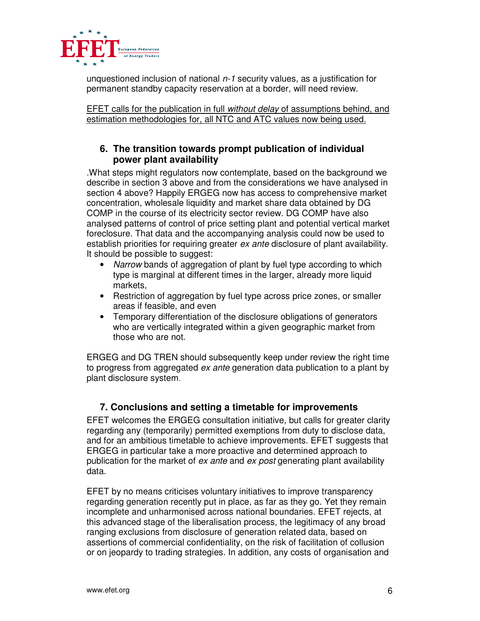

unquestioned inclusion of national  $n-1$  security values, as a justification for permanent standby capacity reservation at a border, will need review.

EFET calls for the publication in full *without delay* of assumptions behind, and estimation methodologies for, all NTC and ATC values now being used.

#### **6. The transition towards prompt publication of individual power plant availability**

.What steps might regulators now contemplate, based on the background we describe in section 3 above and from the considerations we have analysed in section 4 above? Happily ERGEG now has access to comprehensive market concentration, wholesale liquidity and market share data obtained by DG COMP in the course of its electricity sector review. DG COMP have also analysed patterns of control of price setting plant and potential vertical market foreclosure. That data and the accompanying analysis could now be used to establish priorities for requiring greater ex ante disclosure of plant availability. It should be possible to suggest:

- Narrow bands of aggregation of plant by fuel type according to which type is marginal at different times in the larger, already more liquid markets,
- Restriction of aggregation by fuel type across price zones, or smaller areas if feasible, and even
- Temporary differentiation of the disclosure obligations of generators who are vertically integrated within a given geographic market from those who are not.

ERGEG and DG TREN should subsequently keep under review the right time to progress from aggregated ex ante generation data publication to a plant by plant disclosure system.

## **7. Conclusions and setting a timetable for improvements**

EFET welcomes the ERGEG consultation initiative, but calls for greater clarity regarding any (temporarily) permitted exemptions from duty to disclose data, and for an ambitious timetable to achieve improvements. EFET suggests that ERGEG in particular take a more proactive and determined approach to publication for the market of ex ante and ex post generating plant availability data.

EFET by no means criticises voluntary initiatives to improve transparency regarding generation recently put in place, as far as they go. Yet they remain incomplete and unharmonised across national boundaries. EFET rejects, at this advanced stage of the liberalisation process, the legitimacy of any broad ranging exclusions from disclosure of generation related data, based on assertions of commercial confidentiality, on the risk of facilitation of collusion or on jeopardy to trading strategies. In addition, any costs of organisation and